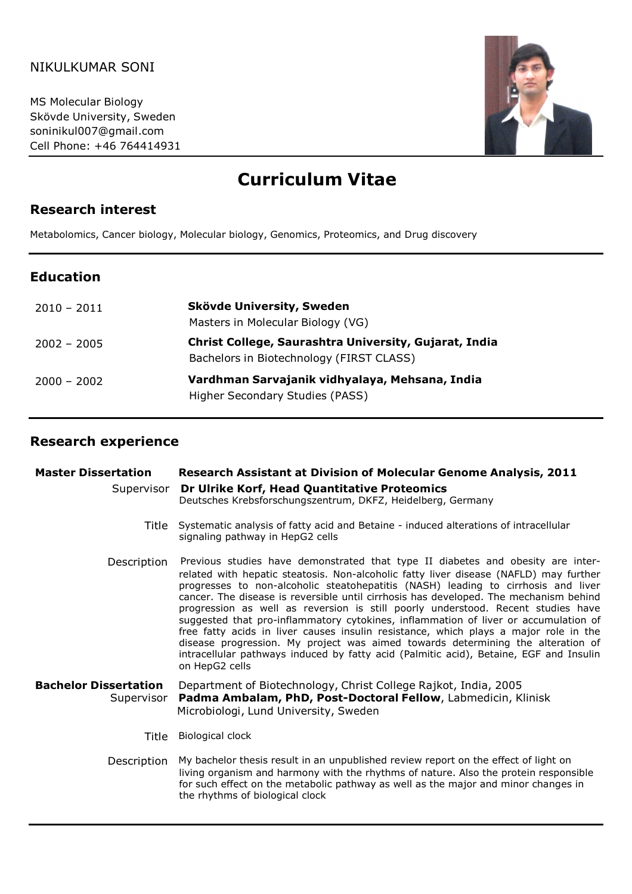MS Molecular Biology Skövde University, Sweden soninikul007@gmail.com Cell Phone: +46 764414931



# **Curriculum Vitae**

## **Research interest**

Metabolomics, Cancer biology, Molecular biology, Genomics, Proteomics, and Drug discovery

## **Education**

| $2010 - 2011$ | Skövde University, Sweden<br>Masters in Molecular Biology (VG)                                    |
|---------------|---------------------------------------------------------------------------------------------------|
| $2002 - 2005$ | Christ College, Saurashtra University, Gujarat, India<br>Bachelors in Biotechnology (FIRST CLASS) |
| $2000 - 2002$ | Vardhman Sarvajanik vidhyalaya, Mehsana, India<br>Higher Secondary Studies (PASS)                 |

## **Research experience**

| <b>Master Dissertation</b>                 | <b>Research Assistant at Division of Molecular Genome Analysis, 2011</b>                                                                                                                                                                                                                                                                                                                                                                                                                                                                                                                                                                                                                                                                                                                                                 |
|--------------------------------------------|--------------------------------------------------------------------------------------------------------------------------------------------------------------------------------------------------------------------------------------------------------------------------------------------------------------------------------------------------------------------------------------------------------------------------------------------------------------------------------------------------------------------------------------------------------------------------------------------------------------------------------------------------------------------------------------------------------------------------------------------------------------------------------------------------------------------------|
| Supervisor                                 | Dr Ulrike Korf, Head Quantitative Proteomics<br>Deutsches Krebsforschungszentrum, DKFZ, Heidelberg, Germany                                                                                                                                                                                                                                                                                                                                                                                                                                                                                                                                                                                                                                                                                                              |
|                                            | Title Systematic analysis of fatty acid and Betaine - induced alterations of intracellular<br>signaling pathway in HepG2 cells                                                                                                                                                                                                                                                                                                                                                                                                                                                                                                                                                                                                                                                                                           |
| Description                                | Previous studies have demonstrated that type II diabetes and obesity are inter-<br>related with hepatic steatosis. Non-alcoholic fatty liver disease (NAFLD) may further<br>progresses to non-alcoholic steatohepatitis (NASH) leading to cirrhosis and liver<br>cancer. The disease is reversible until cirrhosis has developed. The mechanism behind<br>progression as well as reversion is still poorly understood. Recent studies have<br>suggested that pro-inflammatory cytokines, inflammation of liver or accumulation of<br>free fatty acids in liver causes insulin resistance, which plays a major role in the<br>disease progression. My project was aimed towards determining the alteration of<br>intracellular pathways induced by fatty acid (Palmitic acid), Betaine, EGF and Insulin<br>on HepG2 cells |
| <b>Bachelor Dissertation</b><br>Supervisor | Department of Biotechnology, Christ College Rajkot, India, 2005<br>Padma Ambalam, PhD, Post-Doctoral Fellow, Labmedicin, Klinisk<br>Microbiologi, Lund University, Sweden                                                                                                                                                                                                                                                                                                                                                                                                                                                                                                                                                                                                                                                |
| Title                                      | Biological clock                                                                                                                                                                                                                                                                                                                                                                                                                                                                                                                                                                                                                                                                                                                                                                                                         |
| Description                                | My bachelor thesis result in an unpublished review report on the effect of light on<br>living organism and harmony with the rhythms of nature. Also the protein responsible<br>for such effect on the metabolic pathway as well as the major and minor changes in<br>the rhythms of biological clock                                                                                                                                                                                                                                                                                                                                                                                                                                                                                                                     |